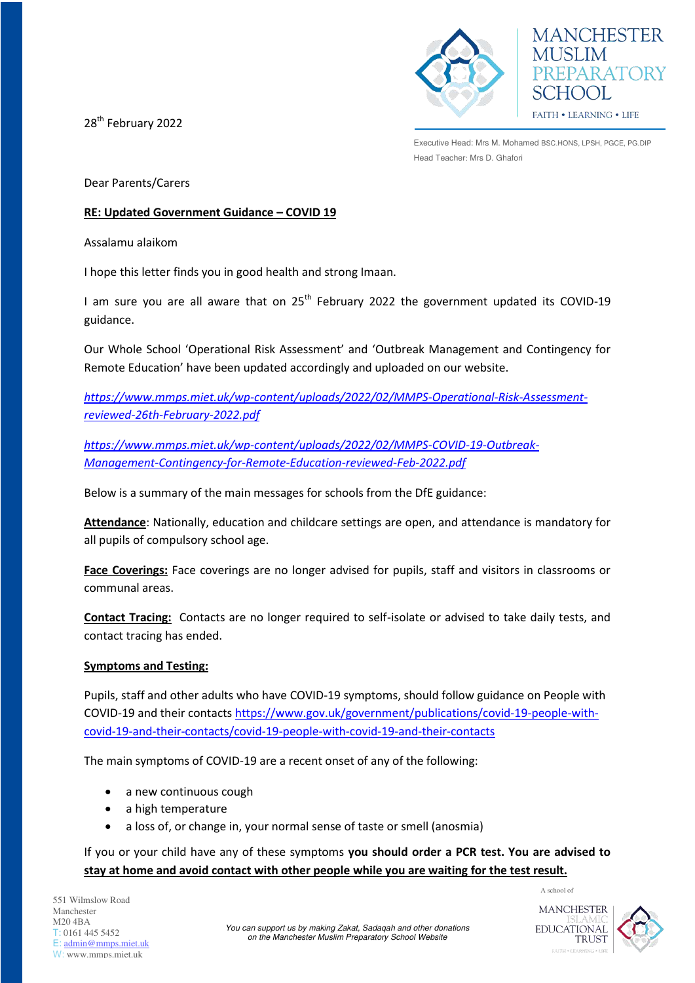28<sup>th</sup> February 2022





Executive Head: Mrs M. Mohamed BSC.HONS, LPSH, PGCE, PG.DIP Head Teacher: Mrs D. Ghafori

Dear Parents/Carers

#### **RE: Updated Government Guidance – COVID 19**

Assalamu alaikom

I hope this letter finds you in good health and strong Imaan.

I am sure you are all aware that on  $25<sup>th</sup>$  February 2022 the government updated its COVID-19 guidance.

Our Whole School 'Operational Risk Assessment' and 'Outbreak Management and Contingency for Remote Education' have been updated accordingly and uploaded on our website.

*[https://www.mmps.miet.uk/wp-content/uploads/2022/02/MMPS-Operational-Risk-Assessment](https://www.mmps.miet.uk/wp-content/uploads/2022/02/MMPS-Operational-Risk-Assessment-reviewed-26th-February-2022.pdf)[reviewed-26th-February-2022.pdf](https://www.mmps.miet.uk/wp-content/uploads/2022/02/MMPS-Operational-Risk-Assessment-reviewed-26th-February-2022.pdf)*

*[https://www.mmps.miet.uk/wp-content/uploads/2022/02/MMPS-COVID-19-Outbreak-](https://www.mmps.miet.uk/wp-content/uploads/2022/02/MMPS-COVID-19-Outbreak-Management-Contingency-for-Remote-Education-reviewed-Feb-2022.pdf)[Management-Contingency-for-Remote-Education-reviewed-Feb-2022.pdf](https://www.mmps.miet.uk/wp-content/uploads/2022/02/MMPS-COVID-19-Outbreak-Management-Contingency-for-Remote-Education-reviewed-Feb-2022.pdf)*

Below is a summary of the main messages for schools from the DfE guidance:

**Attendance**: Nationally, education and childcare settings are open, and attendance is mandatory for all pupils of compulsory school age.

**Face Coverings:** Face coverings are no longer advised for pupils, staff and visitors in classrooms or communal areas.

**Contact Tracing:** Contacts are no longer required to self-isolate or advised to take daily tests, and contact tracing has ended.

## **Symptoms and Testing:**

Pupils, staff and other adults who have COVID-19 symptoms, should follow guidance on People with COVID-19 and their contacts [https://www.gov.uk/government/publications/covid-19-people-with](https://www.gov.uk/government/publications/covid-19-people-with-covid-19-and-their-contacts/covid-19-people-with-covid-19-and-their-contacts)[covid-19-and-their-contacts/covid-19-people-with-covid-19-and-their-contacts](https://www.gov.uk/government/publications/covid-19-people-with-covid-19-and-their-contacts/covid-19-people-with-covid-19-and-their-contacts)

The main symptoms of COVID-19 are a recent onset of any of the following:

- a new continuous cough
- a high temperature
- a loss of, or change in, your normal sense of taste or smell (anosmia)

## If you or your child have any of these symptoms **you should order a PCR test. You are advised to stay at home and avoid contact with other people while you are waiting for the test result.**

551 Wilmslow Road Manchester M20 4BA T: 0161 445 5452 E: [admin@mmps.miet.uk](mailto:admin@mmps.miet.uk) W: www.mmps.miet.uk



A school of

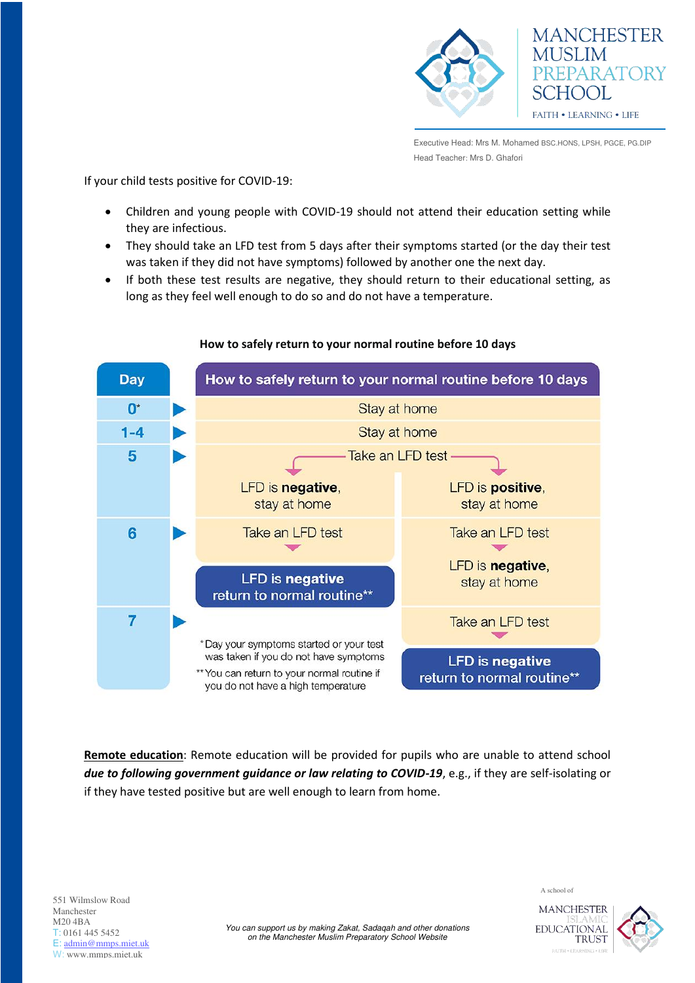

Executive Head: Mrs M. Mohamed BSC.HONS, LPSH, PGCE, PG.DIP Head Teacher: Mrs D. Ghafori

If your child tests positive for COVID-19:

- Children and young people with COVID-19 should not attend their education setting while they are infectious.
- They should take an LFD test from 5 days after their symptoms started (or the day their test was taken if they did not have symptoms) followed by another one the next day.
- If both these test results are negative, they should return to their educational setting, as long as they feel well enough to do so and do not have a temperature.



## **How to safely return to your normal routine before 10 days**

**Remote education**: Remote education will be provided for pupils who are unable to attend school *due to following government guidance or law relating to COVID-19*, e.g., if they are self-isolating or if they have tested positive but are well enough to learn from home.

551 Wilmslow Road Manchester M20 4BA T: 0161 445 5452 E: [admin@mmps.miet.uk](mailto:admin@mmps.miet.uk) W: www.mmps.miet.uk